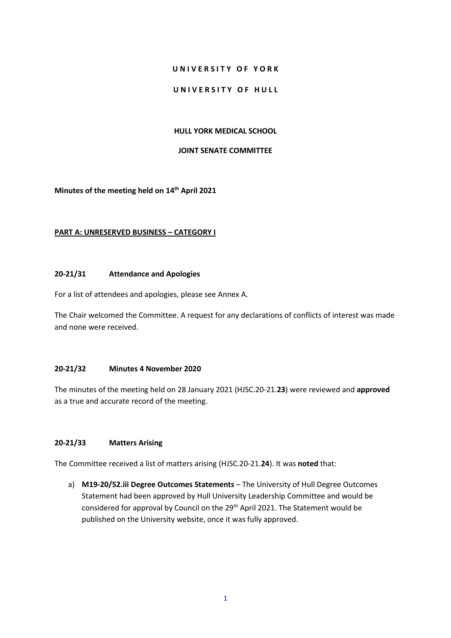## **U N I V E R S I T Y O F Y O R K**

## UNIVERSITY OF HULL

### **HULL YORK MEDICAL SCHOOL**

#### **JOINT SENATE COMMITTEE**

**Minutes of the meeting held on 14th April 2021**

### **PART A: UNRESERVED BUSINESS – CATEGORY I**

#### **20-21/31 Attendance and Apologies**

For a list of attendees and apologies, please see Annex A.

The Chair welcomed the Committee. A request for any declarations of conflicts of interest was made and none were received.

## **20-21/32 Minutes 4 November 2020**

The minutes of the meeting held on 28 January 2021 (HJSC.20-21.**23**) were reviewed and **approved** as a true and accurate record of the meeting.

## **20-21/33 Matters Arising**

The Committee received a list of matters arising (HJSC.20-21.**24**). It was **noted** that:

a) **M19-20/52.iii Degree Outcomes Statements** – The University of Hull Degree Outcomes Statement had been approved by Hull University Leadership Committee and would be considered for approval by Council on the 29<sup>th</sup> April 2021. The Statement would be published on the University website, once it was fully approved.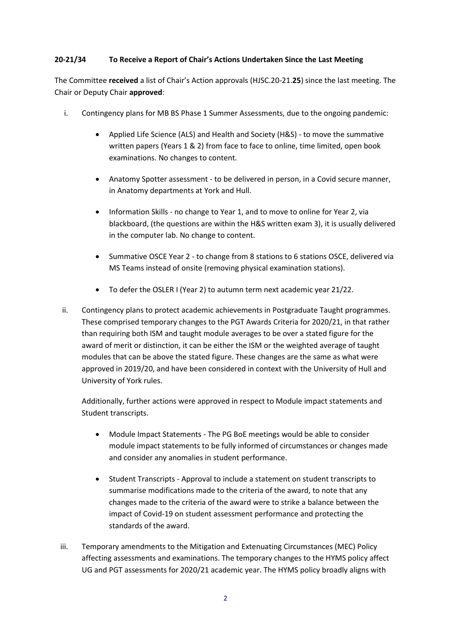## **20-21/34 To Receive a Report of Chair's Actions Undertaken Since the Last Meeting**

The Committee **received** a list of Chair's Action approvals (HJSC.20-21.**25**) since the last meeting. The Chair or Deputy Chair **approved**:

- i. Contingency plans for MB BS Phase 1 Summer Assessments, due to the ongoing pandemic:
	- Applied Life Science (ALS) and Health and Society (H&S) to move the summative written papers (Years 1 & 2) from face to face to online, time limited, open book examinations. No changes to content.
	- Anatomy Spotter assessment to be delivered in person, in a Covid secure manner, in Anatomy departments at York and Hull.
	- Information Skills no change to Year 1, and to move to online for Year 2, via blackboard, (the questions are within the H&S written exam 3), it is usually delivered in the computer lab. No change to content.
	- Summative OSCE Year 2 to change from 8 stations to 6 stations OSCE, delivered via MS Teams instead of onsite (removing physical examination stations).
	- To defer the OSLER I (Year 2) to autumn term next academic year 21/22.
- ii. Contingency plans to protect academic achievements in Postgraduate Taught programmes. These comprised temporary changes to the PGT Awards Criteria for 2020/21, in that rather than requiring both ISM and taught module averages to be over a stated figure for the award of merit or distinction, it can be either the ISM or the weighted average of taught modules that can be above the stated figure. These changes are the same as what were approved in 2019/20, and have been considered in context with the University of Hull and University of York rules.

Additionally, further actions were approved in respect to Module impact statements and Student transcripts.

- Module Impact Statements The PG BoE meetings would be able to consider module impact statements to be fully informed of circumstances or changes made and consider any anomalies in student performance.
- Student Transcripts Approval to include a statement on student transcripts to summarise modifications made to the criteria of the award, to note that any changes made to the criteria of the award were to strike a balance between the impact of Covid-19 on student assessment performance and protecting the standards of the award.
- iii. Temporary amendments to the Mitigation and Extenuating Circumstances (MEC) Policy affecting assessments and examinations. The temporary changes to the HYMS policy affect UG and PGT assessments for 2020/21 academic year. The HYMS policy broadly aligns with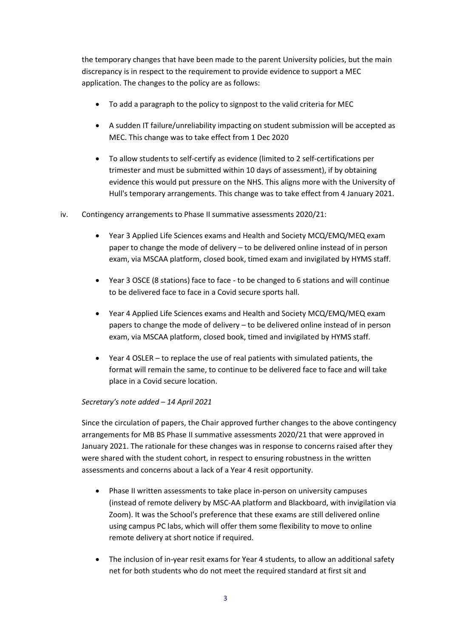the temporary changes that have been made to the parent University policies, but the main discrepancy is in respect to the requirement to provide evidence to support a MEC application. The changes to the policy are as follows:

- To add a paragraph to the policy to signpost to the valid criteria for MEC
- A sudden IT failure/unreliability impacting on student submission will be accepted as MEC. This change was to take effect from 1 Dec 2020
- To allow students to self-certify as evidence (limited to 2 self-certifications per trimester and must be submitted within 10 days of assessment), if by obtaining evidence this would put pressure on the NHS. This aligns more with the University of Hull's temporary arrangements. This change was to take effect from 4 January 2021.
- iv. Contingency arrangements to Phase II summative assessments 2020/21:
	- Year 3 Applied Life Sciences exams and Health and Society MCQ/EMQ/MEQ exam paper to change the mode of delivery – to be delivered online instead of in person exam, via MSCAA platform, closed book, timed exam and invigilated by HYMS staff.
	- Year 3 OSCE (8 stations) face to face to be changed to 6 stations and will continue to be delivered face to face in a Covid secure sports hall.
	- Year 4 Applied Life Sciences exams and Health and Society MCQ/EMQ/MEQ exam papers to change the mode of delivery – to be delivered online instead of in person exam, via MSCAA platform, closed book, timed and invigilated by HYMS staff.
	- Year 4 OSLER to replace the use of real patients with simulated patients, the format will remain the same, to continue to be delivered face to face and will take place in a Covid secure location.

## *Secretary's note added – 14 April 2021*

Since the circulation of papers, the Chair approved further changes to the above contingency arrangements for MB BS Phase II summative assessments 2020/21 that were approved in January 2021. The rationale for these changes was in response to concerns raised after they were shared with the student cohort, in respect to ensuring robustness in the written assessments and concerns about a lack of a Year 4 resit opportunity.

- Phase II written assessments to take place in-person on university campuses (instead of remote delivery by MSC-AA platform and Blackboard, with invigilation via Zoom). It was the School's preference that these exams are still delivered online using campus PC labs, which will offer them some flexibility to move to online remote delivery at short notice if required.
- The inclusion of in-year resit exams for Year 4 students, to allow an additional safety net for both students who do not meet the required standard at first sit and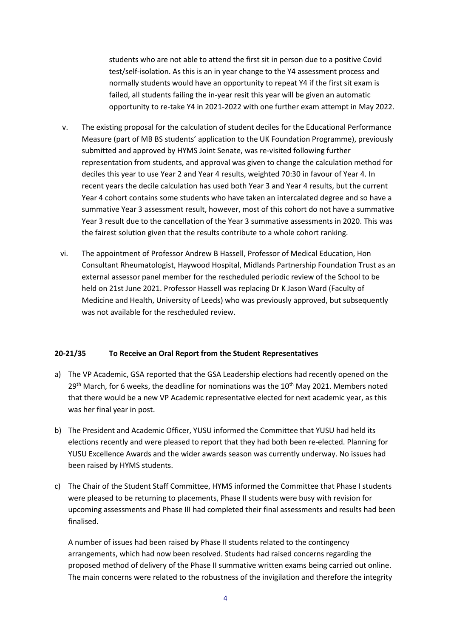students who are not able to attend the first sit in person due to a positive Covid test/self-isolation. As this is an in year change to the Y4 assessment process and normally students would have an opportunity to repeat Y4 if the first sit exam is failed, all students failing the in-year resit this year will be given an automatic opportunity to re-take Y4 in 2021-2022 with one further exam attempt in May 2022.

- v. The existing proposal for the calculation of student deciles for the Educational Performance Measure (part of MB BS students' application to the UK Foundation Programme), previously submitted and approved by HYMS Joint Senate, was re-visited following further representation from students, and approval was given to change the calculation method for deciles this year to use Year 2 and Year 4 results, weighted 70:30 in favour of Year 4. In recent years the decile calculation has used both Year 3 and Year 4 results, but the current Year 4 cohort contains some students who have taken an intercalated degree and so have a summative Year 3 assessment result, however, most of this cohort do not have a summative Year 3 result due to the cancellation of the Year 3 summative assessments in 2020. This was the fairest solution given that the results contribute to a whole cohort ranking.
- vi. The appointment of Professor Andrew B Hassell, Professor of Medical Education, Hon Consultant Rheumatologist, Haywood Hospital, Midlands Partnership Foundation Trust as an external assessor panel member for the rescheduled periodic review of the School to be held on 21st June 2021. Professor Hassell was replacing Dr K Jason Ward (Faculty of Medicine and Health, University of Leeds) who was previously approved, but subsequently was not available for the rescheduled review.

## **20-21/35 To Receive an Oral Report from the Student Representatives**

- a) The VP Academic, GSA reported that the GSA Leadership elections had recently opened on the  $29<sup>th</sup>$  March, for 6 weeks, the deadline for nominations was the 10<sup>th</sup> May 2021. Members noted that there would be a new VP Academic representative elected for next academic year, as this was her final year in post.
- b) The President and Academic Officer, YUSU informed the Committee that YUSU had held its elections recently and were pleased to report that they had both been re-elected. Planning for YUSU Excellence Awards and the wider awards season was currently underway. No issues had been raised by HYMS students.
- c) The Chair of the Student Staff Committee, HYMS informed the Committee that Phase I students were pleased to be returning to placements, Phase II students were busy with revision for upcoming assessments and Phase III had completed their final assessments and results had been finalised.

A number of issues had been raised by Phase II students related to the contingency arrangements, which had now been resolved. Students had raised concerns regarding the proposed method of delivery of the Phase II summative written exams being carried out online. The main concerns were related to the robustness of the invigilation and therefore the integrity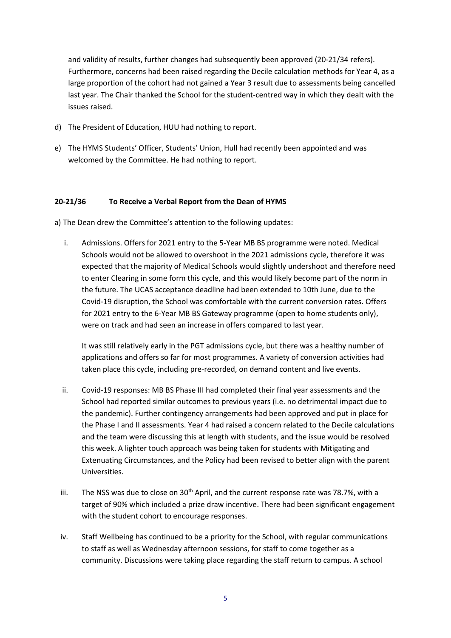and validity of results, further changes had subsequently been approved (20-21/34 refers). Furthermore, concerns had been raised regarding the Decile calculation methods for Year 4, as a large proportion of the cohort had not gained a Year 3 result due to assessments being cancelled last year. The Chair thanked the School for the student-centred way in which they dealt with the issues raised.

- d) The President of Education, HUU had nothing to report.
- e) The HYMS Students' Officer, Students' Union, Hull had recently been appointed and was welcomed by the Committee. He had nothing to report.

## **20-21/36 To Receive a Verbal Report from the Dean of HYMS**

a) The Dean drew the Committee's attention to the following updates:

i. Admissions. Offers for 2021 entry to the 5-Year MB BS programme were noted. Medical Schools would not be allowed to overshoot in the 2021 admissions cycle, therefore it was expected that the majority of Medical Schools would slightly undershoot and therefore need to enter Clearing in some form this cycle, and this would likely become part of the norm in the future. The UCAS acceptance deadline had been extended to 10th June, due to the Covid-19 disruption, the School was comfortable with the current conversion rates. Offers for 2021 entry to the 6-Year MB BS Gateway programme (open to home students only), were on track and had seen an increase in offers compared to last year.

It was still relatively early in the PGT admissions cycle, but there was a healthy number of applications and offers so far for most programmes. A variety of conversion activities had taken place this cycle, including pre-recorded, on demand content and live events.

- ii. Covid-19 responses: MB BS Phase III had completed their final year assessments and the School had reported similar outcomes to previous years (i.e. no detrimental impact due to the pandemic). Further contingency arrangements had been approved and put in place for the Phase I and II assessments. Year 4 had raised a concern related to the Decile calculations and the team were discussing this at length with students, and the issue would be resolved this week. A lighter touch approach was being taken for students with Mitigating and Extenuating Circumstances, and the Policy had been revised to better align with the parent Universities.
- iii. The NSS was due to close on  $30<sup>th</sup>$  April, and the current response rate was 78.7%, with a target of 90% which included a prize draw incentive. There had been significant engagement with the student cohort to encourage responses.
- iv. Staff Wellbeing has continued to be a priority for the School, with regular communications to staff as well as Wednesday afternoon sessions, for staff to come together as a community. Discussions were taking place regarding the staff return to campus. A school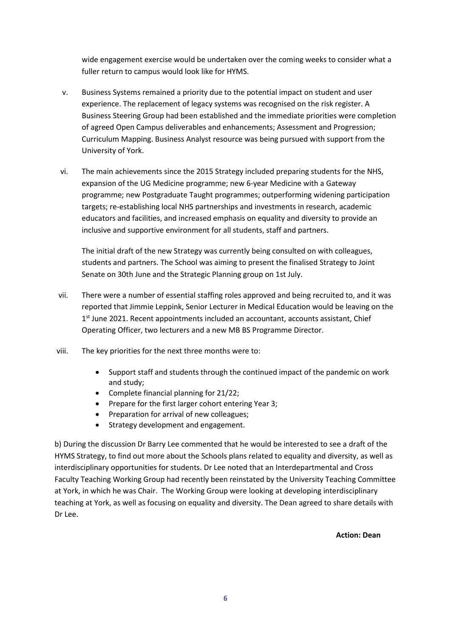wide engagement exercise would be undertaken over the coming weeks to consider what a fuller return to campus would look like for HYMS.

- v. Business Systems remained a priority due to the potential impact on student and user experience. The replacement of legacy systems was recognised on the risk register. A Business Steering Group had been established and the immediate priorities were completion of agreed Open Campus deliverables and enhancements; Assessment and Progression; Curriculum Mapping. Business Analyst resource was being pursued with support from the University of York.
- vi. The main achievements since the 2015 Strategy included preparing students for the NHS, expansion of the UG Medicine programme; new 6-year Medicine with a Gateway programme; new Postgraduate Taught programmes; outperforming widening participation targets; re-establishing local NHS partnerships and investments in research, academic educators and facilities, and increased emphasis on equality and diversity to provide an inclusive and supportive environment for all students, staff and partners.

The initial draft of the new Strategy was currently being consulted on with colleagues, students and partners. The School was aiming to present the finalised Strategy to Joint Senate on 30th June and the Strategic Planning group on 1st July.

- vii. There were a number of essential staffing roles approved and being recruited to, and it was reported that Jimmie Leppink, Senior Lecturer in Medical Education would be leaving on the 1<sup>st</sup> June 2021. Recent appointments included an accountant, accounts assistant, Chief Operating Officer, two lecturers and a new MB BS Programme Director.
- viii. The key priorities for the next three months were to:
	- Support staff and students through the continued impact of the pandemic on work and study;
	- Complete financial planning for 21/22;
	- Prepare for the first larger cohort entering Year 3:
	- Preparation for arrival of new colleagues;
	- Strategy development and engagement.

b) During the discussion Dr Barry Lee commented that he would be interested to see a draft of the HYMS Strategy, to find out more about the Schools plans related to equality and diversity, as well as interdisciplinary opportunities for students. Dr Lee noted that an Interdepartmental and Cross Faculty Teaching Working Group had recently been reinstated by the University Teaching Committee at York, in which he was Chair. The Working Group were looking at developing interdisciplinary teaching at York, as well as focusing on equality and diversity. The Dean agreed to share details with Dr Lee.

**Action: Dean**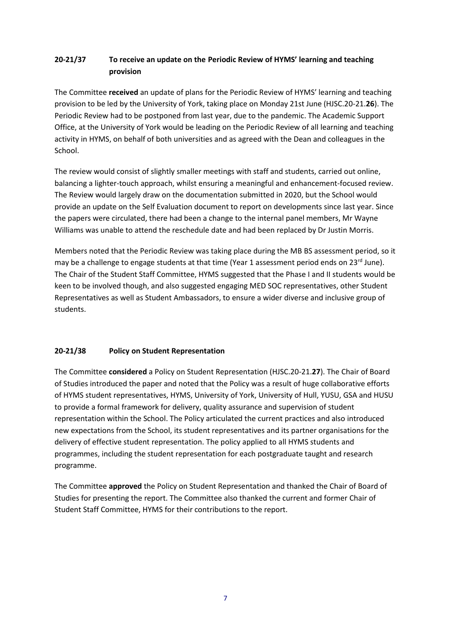# **20-21/37 To receive an update on the Periodic Review of HYMS' learning and teaching provision**

The Committee **received** an update of plans for the Periodic Review of HYMS' learning and teaching provision to be led by the University of York, taking place on Monday 21st June (HJSC.20-21.**26**). The Periodic Review had to be postponed from last year, due to the pandemic. The Academic Support Office, at the University of York would be leading on the Periodic Review of all learning and teaching activity in HYMS, on behalf of both universities and as agreed with the Dean and colleagues in the School.

The review would consist of slightly smaller meetings with staff and students, carried out online, balancing a lighter-touch approach, whilst ensuring a meaningful and enhancement-focused review. The Review would largely draw on the documentation submitted in 2020, but the School would provide an update on the Self Evaluation document to report on developments since last year. Since the papers were circulated, there had been a change to the internal panel members, Mr Wayne Williams was unable to attend the reschedule date and had been replaced by Dr Justin Morris.

Members noted that the Periodic Review was taking place during the MB BS assessment period, so it may be a challenge to engage students at that time (Year 1 assessment period ends on  $23^{rd}$  June). The Chair of the Student Staff Committee, HYMS suggested that the Phase I and II students would be keen to be involved though, and also suggested engaging MED SOC representatives, other Student Representatives as well as Student Ambassadors, to ensure a wider diverse and inclusive group of students.

## **20-21/38 Policy on Student Representation**

The Committee **considered** a Policy on Student Representation (HJSC.20-21.**27**). The Chair of Board of Studies introduced the paper and noted that the Policy was a result of huge collaborative efforts of HYMS student representatives, HYMS, University of York, University of Hull, YUSU, GSA and HUSU to provide a formal framework for delivery, quality assurance and supervision of student representation within the School. The Policy articulated the current practices and also introduced new expectations from the School, its student representatives and its partner organisations for the delivery of effective student representation. The policy applied to all HYMS students and programmes, including the student representation for each postgraduate taught and research programme.

The Committee **approved** the Policy on Student Representation and thanked the Chair of Board of Studies for presenting the report. The Committee also thanked the current and former Chair of Student Staff Committee, HYMS for their contributions to the report.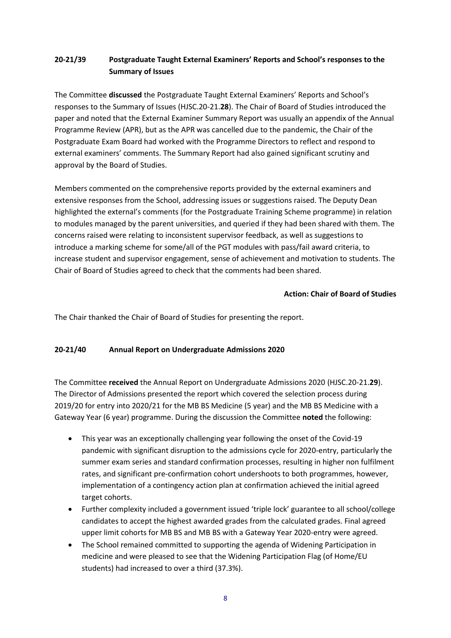# **20-21/39 Postgraduate Taught External Examiners' Reports and School's responses to the Summary of Issues**

The Committee **discussed** the Postgraduate Taught External Examiners' Reports and School's responses to the Summary of Issues (HJSC.20-21.**28**). The Chair of Board of Studies introduced the paper and noted that the External Examiner Summary Report was usually an appendix of the Annual Programme Review (APR), but as the APR was cancelled due to the pandemic, the Chair of the Postgraduate Exam Board had worked with the Programme Directors to reflect and respond to external examiners' comments. The Summary Report had also gained significant scrutiny and approval by the Board of Studies.

Members commented on the comprehensive reports provided by the external examiners and extensive responses from the School, addressing issues or suggestions raised. The Deputy Dean highlighted the external's comments (for the Postgraduate Training Scheme programme) in relation to modules managed by the parent universities, and queried if they had been shared with them. The concerns raised were relating to inconsistent supervisor feedback, as well as suggestions to introduce a marking scheme for some/all of the PGT modules with pass/fail award criteria, to increase student and supervisor engagement, sense of achievement and motivation to students. The Chair of Board of Studies agreed to check that the comments had been shared.

## **Action: Chair of Board of Studies**

The Chair thanked the Chair of Board of Studies for presenting the report.

## **20-21/40 Annual Report on Undergraduate Admissions 2020**

The Committee **received** the Annual Report on Undergraduate Admissions 2020 (HJSC.20-21.**29**). The Director of Admissions presented the report which covered the selection process during 2019/20 for entry into 2020/21 for the MB BS Medicine (5 year) and the MB BS Medicine with a Gateway Year (6 year) programme. During the discussion the Committee **noted** the following:

- This year was an exceptionally challenging year following the onset of the Covid-19 pandemic with significant disruption to the admissions cycle for 2020-entry, particularly the summer exam series and standard confirmation processes, resulting in higher non fulfilment rates, and significant pre-confirmation cohort undershoots to both programmes, however, implementation of a contingency action plan at confirmation achieved the initial agreed target cohorts.
- Further complexity included a government issued 'triple lock' guarantee to all school/college candidates to accept the highest awarded grades from the calculated grades. Final agreed upper limit cohorts for MB BS and MB BS with a Gateway Year 2020-entry were agreed.
- The School remained committed to supporting the agenda of Widening Participation in medicine and were pleased to see that the Widening Participation Flag (of Home/EU students) had increased to over a third (37.3%).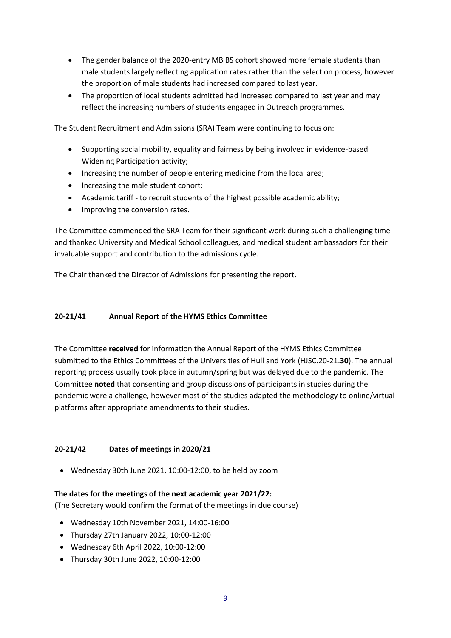- The gender balance of the 2020-entry MB BS cohort showed more female students than male students largely reflecting application rates rather than the selection process, however the proportion of male students had increased compared to last year.
- The proportion of local students admitted had increased compared to last year and may reflect the increasing numbers of students engaged in Outreach programmes.

The Student Recruitment and Admissions (SRA) Team were continuing to focus on:

- Supporting social mobility, equality and fairness by being involved in evidence-based Widening Participation activity;
- Increasing the number of people entering medicine from the local area;
- Increasing the male student cohort;
- Academic tariff to recruit students of the highest possible academic ability;
- Improving the conversion rates.

The Committee commended the SRA Team for their significant work during such a challenging time and thanked University and Medical School colleagues, and medical student ambassadors for their invaluable support and contribution to the admissions cycle.

The Chair thanked the Director of Admissions for presenting the report.

## **20-21/41 Annual Report of the HYMS Ethics Committee**

The Committee **received** for information the Annual Report of the HYMS Ethics Committee submitted to the Ethics Committees of the Universities of Hull and York (HJSC.20-21.**30**). The annual reporting process usually took place in autumn/spring but was delayed due to the pandemic. The Committee **noted** that consenting and group discussions of participants in studies during the pandemic were a challenge, however most of the studies adapted the methodology to online/virtual platforms after appropriate amendments to their studies.

## **20-21/42 Dates of meetings in 2020/21**

Wednesday 30th June 2021, 10:00-12:00, to be held by zoom

## **The dates for the meetings of the next academic year 2021/22:**

(The Secretary would confirm the format of the meetings in due course)

- Wednesday 10th November 2021, 14:00-16:00
- Thursday 27th January 2022, 10:00-12:00
- Wednesday 6th April 2022, 10:00-12:00
- Thursday 30th June 2022, 10:00-12:00